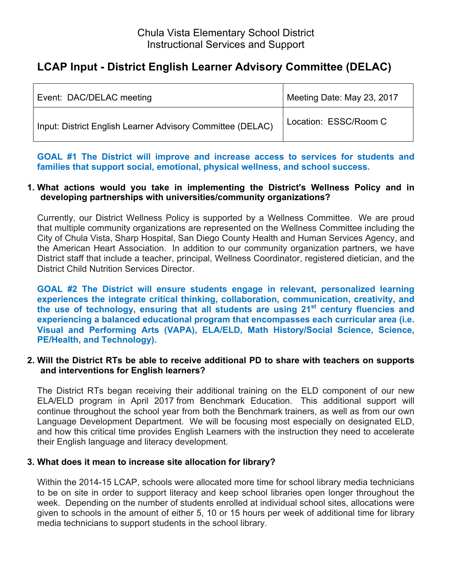# **LCAP Input - District English Learner Advisory Committee (DELAC)**

| Event: DAC/DELAC meeting                                   | Meeting Date: May 23, 2017 |
|------------------------------------------------------------|----------------------------|
| Input: District English Learner Advisory Committee (DELAC) | Location: ESSC/Room C      |

**GOAL #1 The District will improve and increase access to services for students and families that support social, emotional, physical wellness, and school success.**

### **1. What actions would you take in implementing the District's Wellness Policy and in developing partnerships with universities/community organizations?**

Currently, our District Wellness Policy is supported by a Wellness Committee. We are proud that multiple community organizations are represented on the Wellness Committee including the City of Chula Vista, Sharp Hospital, San Diego County Health and Human Services Agency, and the American Heart Association. In addition to our community organization partners, we have District staff that include a teacher, principal, Wellness Coordinator, registered dietician, and the District Child Nutrition Services Director.

**GOAL #2 The District will ensure students engage in relevant, personalized learning experiences the integrate critical thinking, collaboration, communication, creativity, and the use of technology, ensuring that all students are using 21st century fluencies and experiencing a balanced educational program that encompasses each curricular area (i.e. Visual and Performing Arts (VAPA), ELA/ELD, Math History/Social Science, Science, PE/Health, and Technology).** 

### **2. Will the District RTs be able to receive additional PD to share with teachers on supports and interventions for English learners?**

The District RTs began receiving their additional training on the ELD component of our new ELA/ELD program in April 2017 from Benchmark Education. This additional support will continue throughout the school year from both the Benchmark trainers, as well as from our own Language Development Department. We will be focusing most especially on designated ELD, and how this critical time provides English Learners with the instruction they need to accelerate their English language and literacy development.

## **3. What does it mean to increase site allocation for library?**

Within the 2014-15 LCAP, schools were allocated more time for school library media technicians to be on site in order to support literacy and keep school libraries open longer throughout the week. Depending on the number of students enrolled at individual school sites, allocations were given to schools in the amount of either 5, 10 or 15 hours per week of additional time for library media technicians to support students in the school library.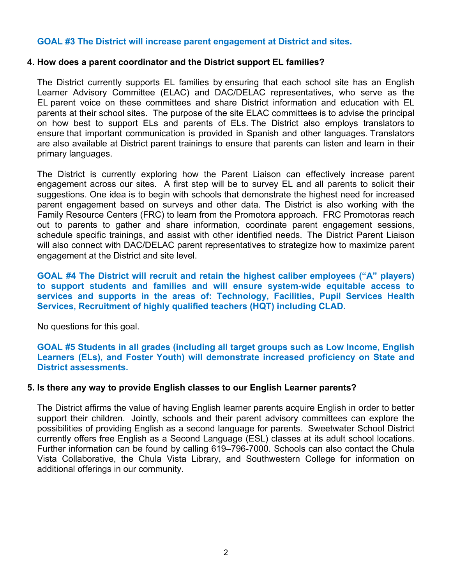#### **GOAL #3 The District will increase parent engagement at District and sites.**

#### **4. How does a parent coordinator and the District support EL families?**

The District currently supports EL families by ensuring that each school site has an English Learner Advisory Committee (ELAC) and DAC/DELAC representatives, who serve as the EL parent voice on these committees and share District information and education with EL parents at their school sites. The purpose of the site ELAC committees is to advise the principal on how best to support ELs and parents of ELs. The District also employs translators to ensure that important communication is provided in Spanish and other languages. Translators are also available at District parent trainings to ensure that parents can listen and learn in their primary languages.

The District is currently exploring how the Parent Liaison can effectively increase parent engagement across our sites. A first step will be to survey EL and all parents to solicit their suggestions. One idea is to begin with schools that demonstrate the highest need for increased parent engagement based on surveys and other data. The District is also working with the Family Resource Centers (FRC) to learn from the Promotora approach. FRC Promotoras reach out to parents to gather and share information, coordinate parent engagement sessions, schedule specific trainings, and assist with other identified needs. The District Parent Liaison will also connect with DAC/DELAC parent representatives to strategize how to maximize parent engagement at the District and site level.

**GOAL #4 The District will recruit and retain the highest caliber employees ("A" players) to support students and families and will ensure system-wide equitable access to services and supports in the areas of: Technology, Facilities, Pupil Services Health Services, Recruitment of highly qualified teachers (HQT) including CLAD.**

No questions for this goal.

**GOAL #5 Students in all grades (including all target groups such as Low Income, English Learners (ELs), and Foster Youth) will demonstrate increased proficiency on State and District assessments.**

#### **5. Is there any way to provide English classes to our English Learner parents?**

The District affirms the value of having English learner parents acquire English in order to better support their children. Jointly, schools and their parent advisory committees can explore the possibilities of providing English as a second language for parents. Sweetwater School District currently offers free English as a Second Language (ESL) classes at its adult school locations. Further information can be found by calling 619–796-7000. Schools can also contact the Chula Vista Collaborative, the Chula Vista Library, and Southwestern College for information on additional offerings in our community.